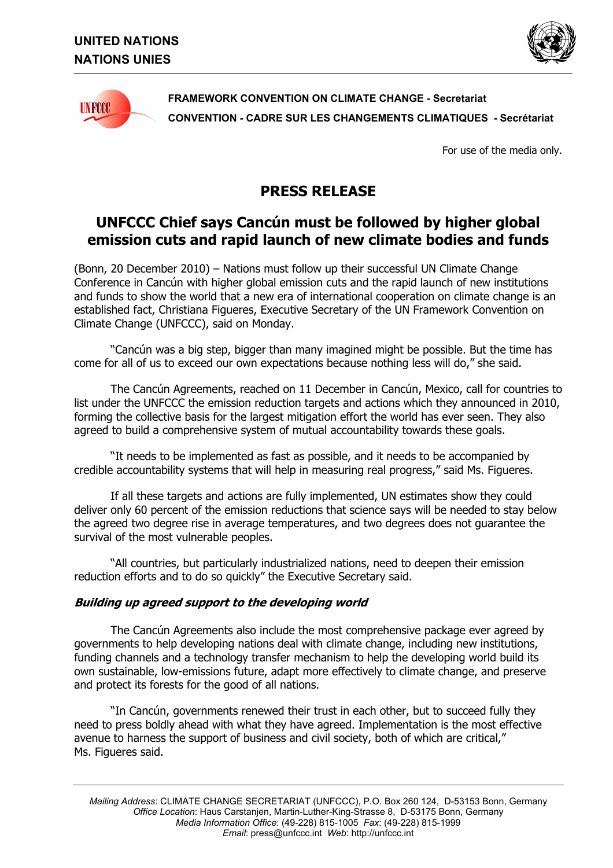



**FRAMEWORK CONVENTION ON CLIMATE CHANGE - Secretariat CONVENTION - CADRE SUR LES CHANGEMENTS CLIMATIQUES - Secrétariat** 

For use of the media only.

## **PRESS RELEASE**

## **UNFCCC Chief says Cancún must be followed by higher global emission cuts and rapid launch of new climate bodies and funds**

(Bonn, 20 December 2010) – Nations must follow up their successful UN Climate Change Conference in Cancún with higher global emission cuts and the rapid launch of new institutions and funds to show the world that a new era of international cooperation on climate change is an established fact, Christiana Figueres, Executive Secretary of the UN Framework Convention on Climate Change (UNFCCC), said on Monday.

"Cancún was a big step, bigger than many imagined might be possible. But the time has come for all of us to exceed our own expectations because nothing less will do," she said.

The Cancún Agreements, reached on 11 December in Cancún, Mexico, call for countries to list under the UNFCCC the emission reduction targets and actions which they announced in 2010, forming the collective basis for the largest mitigation effort the world has ever seen. They also agreed to build a comprehensive system of mutual accountability towards these goals.

"It needs to be implemented as fast as possible, and it needs to be accompanied by credible accountability systems that will help in measuring real progress," said Ms. Figueres,

If all these targets and actions are fully implemented, UN estimates show they could deliver only 60 percent of the emission reductions that science says will be needed to stay below the agreed two degree rise in average temperatures, and two degrees does not guarantee the survival of the most vulnerable peoples.

"All countries, but particularly industrialized nations, need to deepen their emission reduction efforts and to do so quickly" the Executive Secretary said.

## **Building up agreed support to the developing world**

The Cancún Agreements also include the most comprehensive package ever agreed by governments to help developing nations deal with climate change, including new institutions, funding channels and a technology transfer mechanism to help the developing world build its own sustainable, low-emissions future, adapt more effectively to climate change, and preserve and protect its forests for the good of all nations.

"In Cancún, governments renewed their trust in each other, but to succeed fully they need to press boldly ahead with what they have agreed. Implementation is the most effective avenue to harness the support of business and civil society, both of which are critical," Ms. Figueres said.